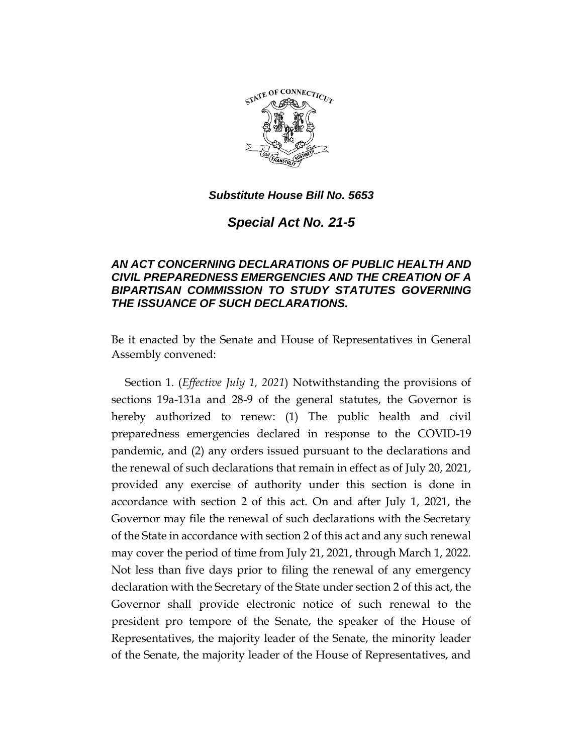

*Special Act No. 21-5*

## *AN ACT CONCERNING DECLARATIONS OF PUBLIC HEALTH AND CIVIL PREPAREDNESS EMERGENCIES AND THE CREATION OF A BIPARTISAN COMMISSION TO STUDY STATUTES GOVERNING THE ISSUANCE OF SUCH DECLARATIONS.*

Be it enacted by the Senate and House of Representatives in General Assembly convened:

Section 1. (*Effective July 1, 2021*) Notwithstanding the provisions of sections 19a-131a and 28-9 of the general statutes, the Governor is hereby authorized to renew: (1) The public health and civil preparedness emergencies declared in response to the COVID-19 pandemic, and (2) any orders issued pursuant to the declarations and the renewal of such declarations that remain in effect as of July 20, 2021, provided any exercise of authority under this section is done in accordance with section 2 of this act. On and after July 1, 2021, the Governor may file the renewal of such declarations with the Secretary of the State in accordance with section 2 of this act and any such renewal may cover the period of time from July 21, 2021, through March 1, 2022. Not less than five days prior to filing the renewal of any emergency declaration with the Secretary of the State under section 2 of this act, the Governor shall provide electronic notice of such renewal to the president pro tempore of the Senate, the speaker of the House of Representatives, the majority leader of the Senate, the minority leader of the Senate, the majority leader of the House of Representatives, and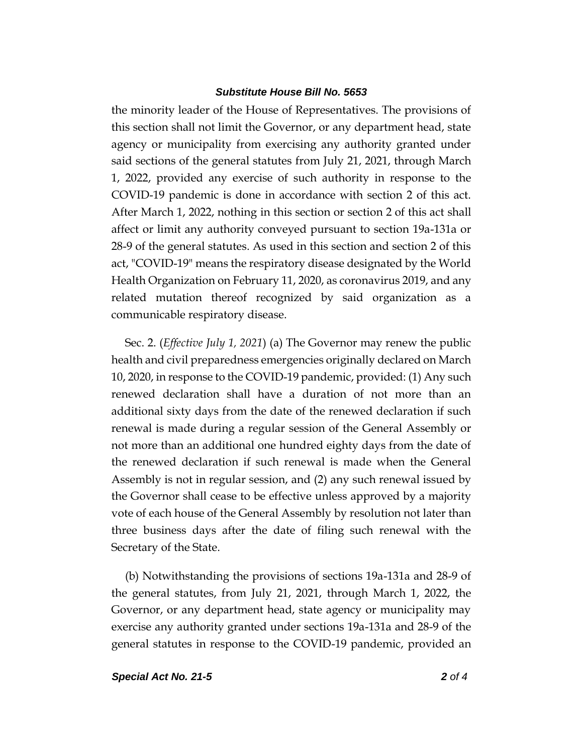the minority leader of the House of Representatives. The provisions of this section shall not limit the Governor, or any department head, state agency or municipality from exercising any authority granted under said sections of the general statutes from July 21, 2021, through March 1, 2022, provided any exercise of such authority in response to the COVID-19 pandemic is done in accordance with section 2 of this act. After March 1, 2022, nothing in this section or section 2 of this act shall affect or limit any authority conveyed pursuant to section 19a-131a or 28-9 of the general statutes. As used in this section and section 2 of this act, "COVID-19" means the respiratory disease designated by the World Health Organization on February 11, 2020, as coronavirus 2019, and any related mutation thereof recognized by said organization as a communicable respiratory disease.

Sec. 2. (*Effective July 1, 2021*) (a) The Governor may renew the public health and civil preparedness emergencies originally declared on March 10, 2020, in response to the COVID-19 pandemic, provided: (1) Any such renewed declaration shall have a duration of not more than an additional sixty days from the date of the renewed declaration if such renewal is made during a regular session of the General Assembly or not more than an additional one hundred eighty days from the date of the renewed declaration if such renewal is made when the General Assembly is not in regular session, and (2) any such renewal issued by the Governor shall cease to be effective unless approved by a majority vote of each house of the General Assembly by resolution not later than three business days after the date of filing such renewal with the Secretary of the State.

(b) Notwithstanding the provisions of sections 19a-131a and 28-9 of the general statutes, from July 21, 2021, through March 1, 2022, the Governor, or any department head, state agency or municipality may exercise any authority granted under sections 19a-131a and 28-9 of the general statutes in response to the COVID-19 pandemic, provided an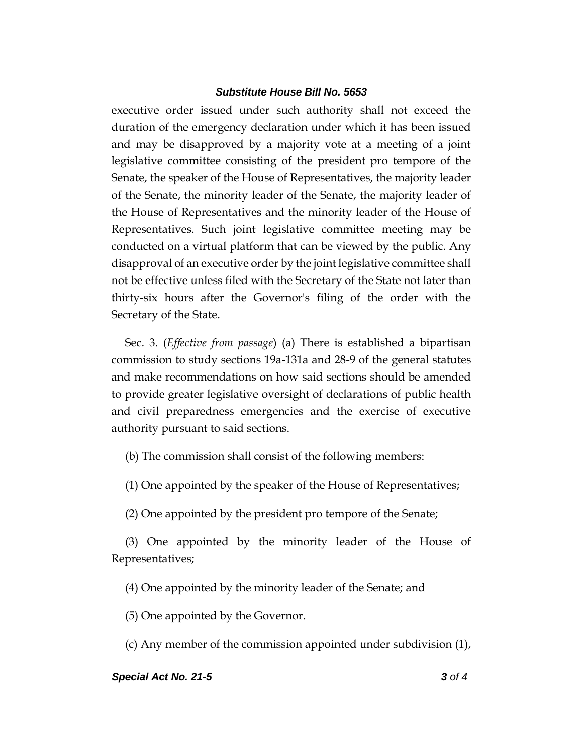executive order issued under such authority shall not exceed the duration of the emergency declaration under which it has been issued and may be disapproved by a majority vote at a meeting of a joint legislative committee consisting of the president pro tempore of the Senate, the speaker of the House of Representatives, the majority leader of the Senate, the minority leader of the Senate, the majority leader of the House of Representatives and the minority leader of the House of Representatives. Such joint legislative committee meeting may be conducted on a virtual platform that can be viewed by the public. Any disapproval of an executive order by the joint legislative committee shall not be effective unless filed with the Secretary of the State not later than thirty-six hours after the Governor's filing of the order with the Secretary of the State.

Sec. 3. (*Effective from passage*) (a) There is established a bipartisan commission to study sections 19a-131a and 28-9 of the general statutes and make recommendations on how said sections should be amended to provide greater legislative oversight of declarations of public health and civil preparedness emergencies and the exercise of executive authority pursuant to said sections.

(b) The commission shall consist of the following members:

(1) One appointed by the speaker of the House of Representatives;

(2) One appointed by the president pro tempore of the Senate;

(3) One appointed by the minority leader of the House of Representatives;

(4) One appointed by the minority leader of the Senate; and

(5) One appointed by the Governor.

(c) Any member of the commission appointed under subdivision (1),